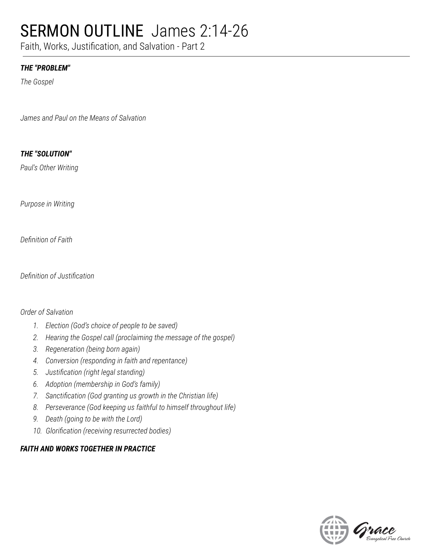## SERMON OUTLINE James 2:14-26

Faith, Works, Justification, and Salvation - Part 2

### *THE "PROBLEM"*

*The Gospel*

*James and Paul on the Means of Salvation*

### *THE "SOLUTION"*

*Paul's Other Writing*

*Purpose in Writing*

*Definition of Faith*

*Definition of Justification*

### *Order of Salvation*

- *1. Election (God's choice of people to be saved)*
- *2. Hearing the Gospel call (proclaiming the message of the gospel)*
- *3. Regeneration (being born again)*
- *4. Conversion (responding in faith and repentance)*
- *5. Justification (right legal standing)*
- *6. Adoption (membership in God's family)*
- *7. Sanctification (God granting us growth in the Christian life)*
- *8. Perseverance (God keeping us faithful to himself throughout life)*
- *9. Death (going to be with the Lord)*
- *10. Glorification (receiving resurrected bodies)*

### *FAITH AND WORKS TOGETHER IN PRACTICE*